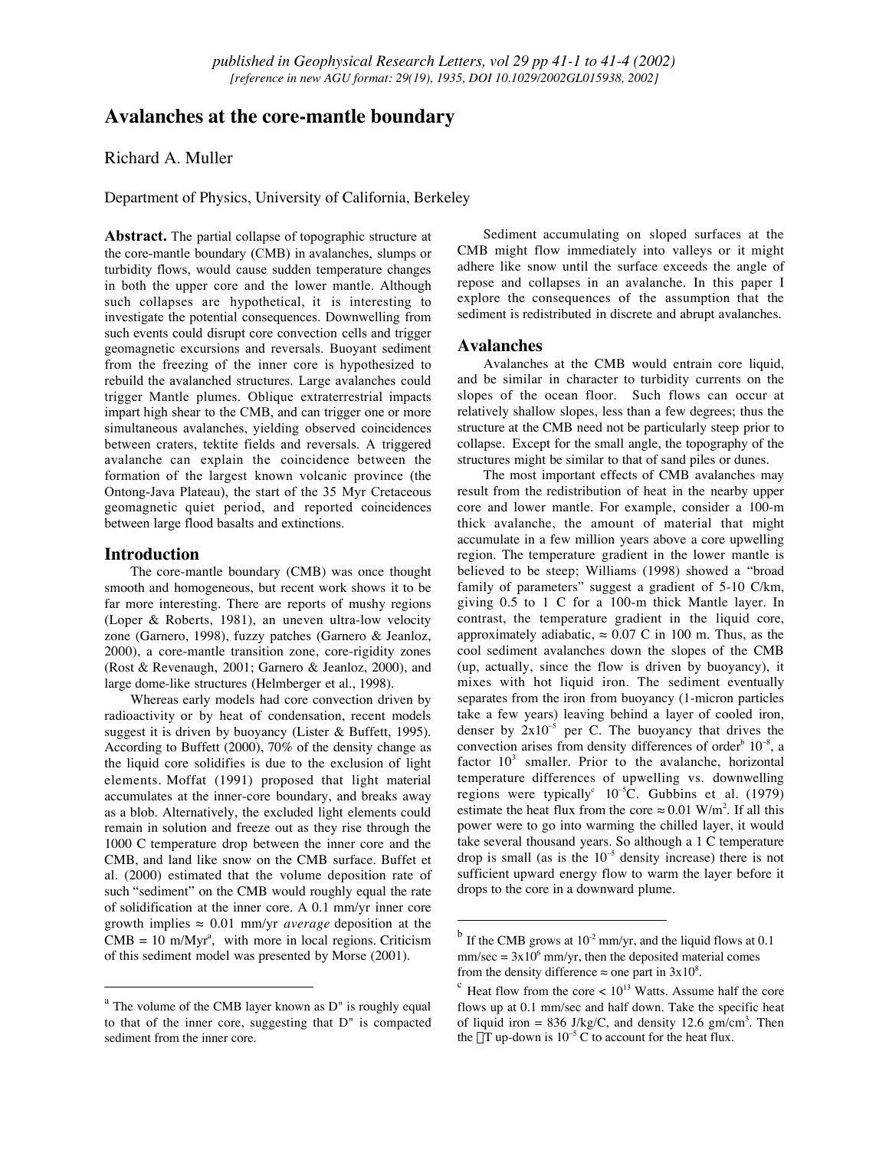# **Avalanches at the core-mantle boundary**

Richard A. Muller

Department of Physics, University of California, Berkeley

**Abstract.** The partial collapse of topographic structure at the core-mantle boundary (CMB) in avalanches, slumps or turbidity flows, would cause sudden temperature changes in both the upper core and the lower mantle. Although such collapses are hypothetical, it is interesting to investigate the potential consequences. Downwelling from such events could disrupt core convection cells and trigger geomagnetic excursions and reversals. Buoyant sediment from the freezing of the inner core is hypothesized to rebuild the avalanched structures. Large avalanches could trigger Mantle plumes. Oblique extraterrestrial impacts impart high shear to the CMB, and can trigger one or more simultaneous avalanches, yielding observed coincidences between craters, tektite fields and reversals. A triggered avalanche can explain the coincidence between the formation of the largest known volcanic province (the Ontong-Java Plateau), the start of the 35 Myr Cretaceous geomagnetic quiet period, and reported coincidences between large flood basalts and extinctions.

# **Introduction**

The core-mantle boundary (CMB) was once thought smooth and homogeneous, but recent work shows it to be far more interesting. There are reports of mushy regions (Loper & Roberts, 1981), an uneven ultra-low velocity zone (Garnero, 1998), fuzzy patches (Garnero & Jeanloz, 2000), a core-mantle transition zone, core-rigidity zones (Rost & Revenaugh, 2001; Garnero & Jeanloz, 2000), and large dome-like structures (Helmberger et al., 1998).

Whereas early models had core convection driven by radioactivity or by heat of condensation, recent models suggest it is driven by buoyancy (Lister & Buffett, 1995). According to Buffett (2000), 70% of the density change as the liquid core solidifies is due to the exclusion of light elements. Moffat (1991) proposed that light material accumulates at the inner-core boundary, and breaks away as a blob. Alternatively, the excluded light elements could remain in solution and freeze out as they rise through the 1000 C temperature drop between the inner core and the CMB, and land like snow on the CMB surface. Buffet et al. (2000) estimated that the volume deposition rate of such "sediment" on the CMB would roughly equal the rate of solidification at the inner core. A 0.1 mm/yr inner core growth implies ≈ 0.01 mm/yr *average* deposition at the  $CMB = 10$  m/Myr<sup>a</sup>, with more in local regions. Criticism of this sediment model was presented by Morse (2001).

Sediment accumulating on sloped surfaces at the CMB might flow immediately into valleys or it might adhere like snow until the surface exceeds the angle of repose and collapses in an avalanche. In this paper I explore the consequences of the assumption that the sediment is redistributed in discrete and abrupt avalanches.

## **Avalanches**

Avalanches at the CMB would entrain core liquid, and be similar in character to turbidity currents on the slopes of the ocean floor. Such flows can occur at relatively shallow slopes, less than a few degrees; thus the structure at the CMB need not be particularly steep prior to collapse. Except for the small angle, the topography of the structures might be similar to that of sand piles or dunes.

The most important effects of CMB avalanches may result from the redistribution of heat in the nearby upper core and lower mantle. For example, consider a 100-m thick avalanche, the amount of material that might accumulate in a few million years above a core upwelling region. The temperature gradient in the lower mantle is believed to be steep; Williams (1998) showed a "broad family of parameters" suggest a gradient of 5-10 C/km, giving 0.5 to 1 C for a 100-m thick Mantle layer. In contrast, the temperature gradient in the liquid core, approximately adiabatic,  $\approx 0.07$  C in 100 m. Thus, as the cool sediment avalanches down the slopes of the CMB (up, actually, since the flow is driven by buoyancy), it mixes with hot liquid iron. The sediment eventually separates from the iron from buoyancy (1-micron particles take a few years) leaving behind a layer of cooled iron, denser by  $2x10^{-5}$  per C. The buoyancy that drives the convection arises from density differences of order<sup>b</sup>  $10^{-8}$ , a factor  $10<sup>3</sup>$  smaller. Prior to the avalanche, horizontal temperature differences of upwelling vs. downwelling regions were typically<sup>c</sup>  $10^{-5}$ C. Gubbins et al. (1979) estimate the heat flux from the core  $\approx 0.01 \text{ W/m}^2$ . If all this power were to go into warming the chilled layer, it would take several thousand years. So although a 1 C temperature drop is small (as is the  $10^{-5}$  density increase) there is not sufficient upward energy flow to warm the layer before it drops to the core in a downward plume.

 $a<sup>a</sup>$  The volume of the CMB layer known as  $D<sup>n</sup>$  is roughly equal to that of the inner core, suggesting that D" is compacted sediment from the inner core.

 $<sup>b</sup>$  If the CMB grows at 10<sup>-2</sup> mm/yr, and the liquid flows at 0.1</sup>  $mm/sec = 3x10<sup>6</sup> mm/yr$ , then the deposited material comes from the density difference  $\approx$  one part in 3x10<sup>8</sup>.

 $\degree$  Heat flow from the core  $\lt 10^{13}$  Watts. Assume half the core flows up at 0.1 mm/sec and half down. Take the specific heat of liquid iron =  $836$  J/kg/C, and density 12.6 gm/cm<sup>3</sup>. Then the  $\Delta T$  up-down is  $10^{-5}$  C to account for the heat flux.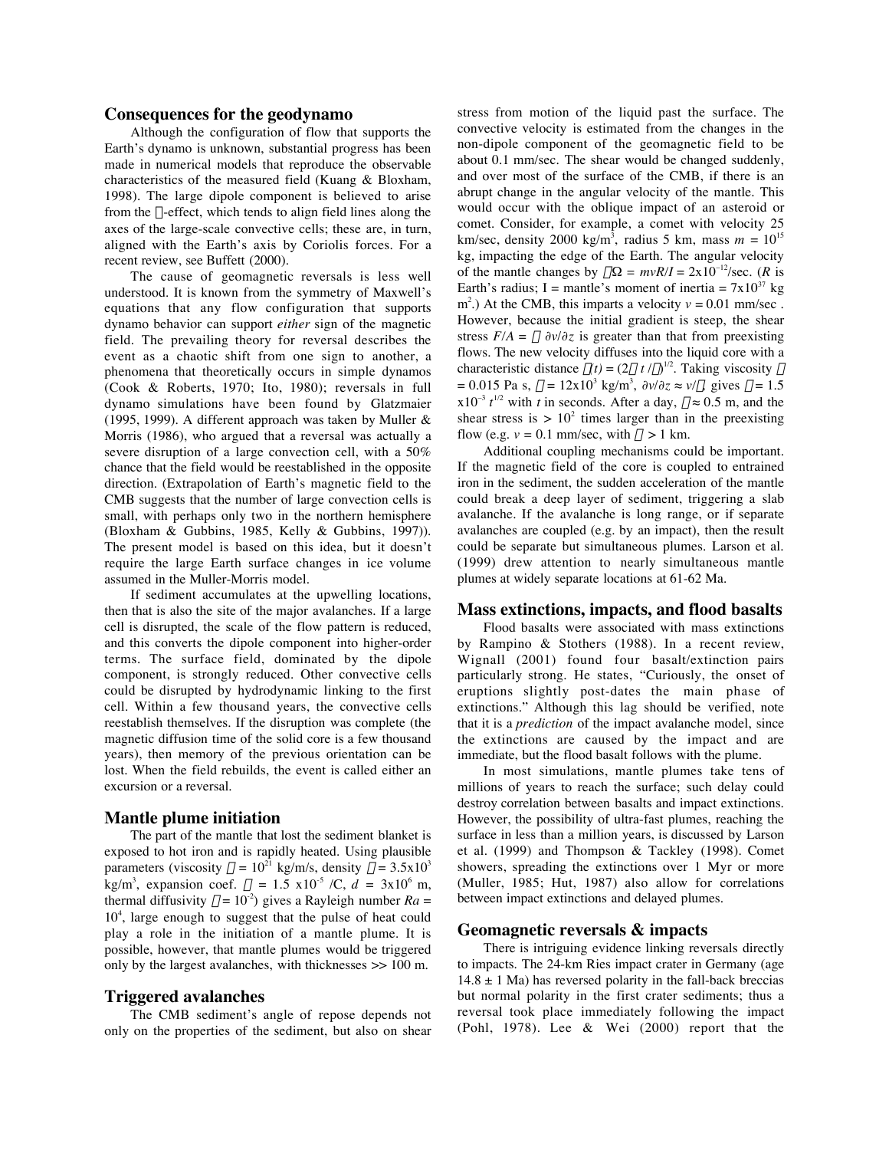#### **Consequences for the geodynamo**

Although the configuration of flow that supports the Earth's dynamo is unknown, substantial progress has been made in numerical models that reproduce the observable characteristics of the measured field (Kuang & Bloxham, 1998). The large dipole component is believed to arise from the  $\alpha$ -effect, which tends to align field lines along the axes of the large-scale convective cells; these are, in turn, aligned with the Earth's axis by Coriolis forces. For a recent review, see Buffett (2000).

The cause of geomagnetic reversals is less well understood. It is known from the symmetry of Maxwell's equations that any flow configuration that supports dynamo behavior can support *either* sign of the magnetic field. The prevailing theory for reversal describes the event as a chaotic shift from one sign to another, a phenomena that theoretically occurs in simple dynamos (Cook & Roberts, 1970; Ito, 1980); reversals in full dynamo simulations have been found by Glatzmaier (1995, 1999). A different approach was taken by Muller & Morris (1986), who argued that a reversal was actually a severe disruption of a large convection cell, with a 50% chance that the field would be reestablished in the opposite direction. (Extrapolation of Earth's magnetic field to the CMB suggests that the number of large convection cells is small, with perhaps only two in the northern hemisphere (Bloxham & Gubbins, 1985, Kelly & Gubbins, 1997)). The present model is based on this idea, but it doesn't require the large Earth surface changes in ice volume assumed in the Muller-Morris model.

If sediment accumulates at the upwelling locations, then that is also the site of the major avalanches. If a large cell is disrupted, the scale of the flow pattern is reduced, and this converts the dipole component into higher-order terms. The surface field, dominated by the dipole component, is strongly reduced. Other convective cells could be disrupted by hydrodynamic linking to the first cell. Within a few thousand years, the convective cells reestablish themselves. If the disruption was complete (the magnetic diffusion time of the solid core is a few thousand years), then memory of the previous orientation can be lost. When the field rebuilds, the event is called either an excursion or a reversal.

#### **Mantle plume initiation**

The part of the mantle that lost the sediment blanket is exposed to hot iron and is rapidly heated. Using plausible parameters (viscosity  $\eta = 10^{21}$  kg/m/s, density  $\rho = 3.5 \times 10^3$ kg/m<sup>3</sup>, expansion coef.  $\alpha = 1.5 \times 10^{-5}$  /C,  $d = 3 \times 10^{6}$  m, thermal diffusivity  $\kappa = 10^{-2}$ ) gives a Rayleigh number  $Ra =$ 10<sup>4</sup>, large enough to suggest that the pulse of heat could play a role in the initiation of a mantle plume. It is possible, however, that mantle plumes would be triggered only by the largest avalanches, with thicknesses >> 100 m.

### **Triggered avalanches**

The CMB sediment's angle of repose depends not only on the properties of the sediment, but also on shear stress from motion of the liquid past the surface. The convective velocity is estimated from the changes in the non-dipole component of the geomagnetic field to be about 0.1 mm/sec. The shear would be changed suddenly, and over most of the surface of the CMB, if there is an abrupt change in the angular velocity of the mantle. This would occur with the oblique impact of an asteroid or comet. Consider, for example, a comet with velocity 25 km/sec, density 2000 kg/m3 , radius 5 km, mass *m* = 10<sup>15</sup> kg, impacting the edge of the Earth. The angular velocity of the mantle changes by  $\Delta\Omega = mvR/I = 2x10^{-12}/sec$ . (*R* is Earth's radius; I = mantle's moment of inertia =  $7x10^{37}$  kg m<sup>2</sup>.) At the CMB, this imparts a velocity  $v = 0.01$  mm/sec. However, because the initial gradient is steep, the shear stress  $F/A = \mu \frac{\partial v}{\partial z}$  is greater than that from preexisting flows. The new velocity diffuses into the liquid core with a characteristic distance  $\delta(t) = (2\mu \ t/\rho)^{1/2}$ . Taking viscosity  $\mu$  $= 0.015$  Pa s,  $\rho = 12x10^3$  kg/m<sup>3</sup>,  $\partial v/\partial z \approx v/\delta$ , gives  $\delta = 1.5$  $x10^{-3} t^{1/2}$  with *t* in seconds. After a day,  $\delta \approx 0.5$  m, and the shear stress is  $> 10^2$  times larger than in the preexisting flow (e.g.  $v = 0.1$  mm/sec, with  $\delta > 1$  km.

Additional coupling mechanisms could be important. If the magnetic field of the core is coupled to entrained iron in the sediment, the sudden acceleration of the mantle could break a deep layer of sediment, triggering a slab avalanche. If the avalanche is long range, or if separate avalanches are coupled (e.g. by an impact), then the result could be separate but simultaneous plumes. Larson et al. (1999) drew attention to nearly simultaneous mantle plumes at widely separate locations at 61-62 Ma.

### **Mass extinctions, impacts, and flood basalts**

Flood basalts were associated with mass extinctions by Rampino & Stothers (1988). In a recent review, Wignall (2001) found four basalt/extinction pairs particularly strong. He states, "Curiously, the onset of eruptions slightly post-dates the main phase of extinctions." Although this lag should be verified, note that it is a *prediction* of the impact avalanche model, since the extinctions are caused by the impact and are immediate, but the flood basalt follows with the plume.

In most simulations, mantle plumes take tens of millions of years to reach the surface; such delay could destroy correlation between basalts and impact extinctions. However, the possibility of ultra-fast plumes, reaching the surface in less than a million years, is discussed by Larson et al. (1999) and Thompson & Tackley (1998). Comet showers, spreading the extinctions over 1 Myr or more (Muller, 1985; Hut, 1987) also allow for correlations between impact extinctions and delayed plumes.

# **Geomagnetic reversals & impacts**

There is intriguing evidence linking reversals directly to impacts. The 24-km Ries impact crater in Germany (age  $14.8 \pm 1$  Ma) has reversed polarity in the fall-back breccias but normal polarity in the first crater sediments; thus a reversal took place immediately following the impact (Pohl, 1978). Lee & Wei (2000) report that the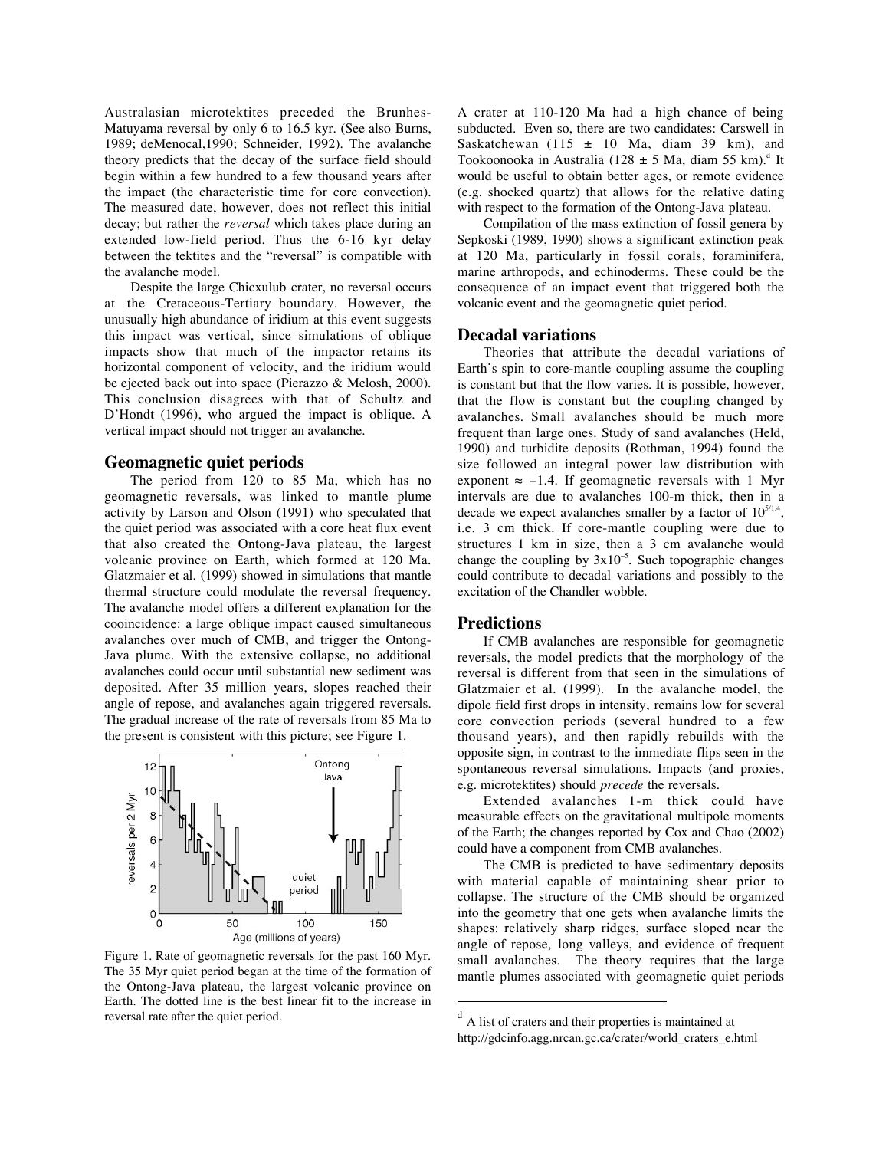Australasian microtektites preceded the Brunhes-Matuyama reversal by only 6 to 16.5 kyr. (See also Burns, 1989; deMenocal,1990; Schneider, 1992). The avalanche theory predicts that the decay of the surface field should begin within a few hundred to a few thousand years after the impact (the characteristic time for core convection). The measured date, however, does not reflect this initial decay; but rather the *reversal* which takes place during an extended low-field period. Thus the 6-16 kyr delay between the tektites and the "reversal" is compatible with the avalanche model.

Despite the large Chicxulub crater, no reversal occurs at the Cretaceous-Tertiary boundary. However, the unusually high abundance of iridium at this event suggests this impact was vertical, since simulations of oblique impacts show that much of the impactor retains its horizontal component of velocity, and the iridium would be ejected back out into space (Pierazzo & Melosh, 2000). This conclusion disagrees with that of Schultz and D'Hondt (1996), who argued the impact is oblique. A vertical impact should not trigger an avalanche.

# **Geomagnetic quiet periods**

The period from 120 to 85 Ma, which has no geomagnetic reversals, was linked to mantle plume activity by Larson and Olson (1991) who speculated that the quiet period was associated with a core heat flux event that also created the Ontong-Java plateau, the largest volcanic province on Earth, which formed at 120 Ma. Glatzmaier et al. (1999) showed in simulations that mantle thermal structure could modulate the reversal frequency. The avalanche model offers a different explanation for the cooincidence: a large oblique impact caused simultaneous avalanches over much of CMB, and trigger the Ontong-Java plume. With the extensive collapse, no additional avalanches could occur until substantial new sediment was deposited. After 35 million years, slopes reached their angle of repose, and avalanches again triggered reversals. The gradual increase of the rate of reversals from 85 Ma to the present is consistent with this picture; see Figure 1.



Figure 1. Rate of geomagnetic reversals for the past 160 Myr. The 35 Myr quiet period began at the time of the formation of the Ontong-Java plateau, the largest volcanic province on Earth. The dotted line is the best linear fit to the increase in reversal rate after the quiet period.

A crater at 110-120 Ma had a high chance of being subducted. Even so, there are two candidates: Carswell in Saskatchewan (115  $\pm$  10 Ma, diam 39 km), and Tookoonooka in Australia (128 ± 5 Ma, diam 55 km).<sup>d</sup> It would be useful to obtain better ages, or remote evidence (e.g. shocked quartz) that allows for the relative dating with respect to the formation of the Ontong-Java plateau.

Compilation of the mass extinction of fossil genera by Sepkoski (1989, 1990) shows a significant extinction peak at 120 Ma, particularly in fossil corals, foraminifera, marine arthropods, and echinoderms. These could be the consequence of an impact event that triggered both the volcanic event and the geomagnetic quiet period.

# **Decadal variations**

Theories that attribute the decadal variations of Earth's spin to core-mantle coupling assume the coupling is constant but that the flow varies. It is possible, however, that the flow is constant but the coupling changed by avalanches. Small avalanches should be much more frequent than large ones. Study of sand avalanches (Held, 1990) and turbidite deposits (Rothman, 1994) found the size followed an integral power law distribution with exponent  $\approx$  –1.4. If geomagnetic reversals with 1 Myr intervals are due to avalanches 100-m thick, then in a decade we expect avalanches smaller by a factor of  $10^{5/1.4}$ , i.e. 3 cm thick. If core-mantle coupling were due to structures 1 km in size, then a 3 cm avalanche would change the coupling by  $3x10^{-5}$ . Such topographic changes could contribute to decadal variations and possibly to the excitation of the Chandler wobble.

### **Predictions**

If CMB avalanches are responsible for geomagnetic reversals, the model predicts that the morphology of the reversal is different from that seen in the simulations of Glatzmaier et al. (1999). In the avalanche model, the dipole field first drops in intensity, remains low for several core convection periods (several hundred to a few thousand years), and then rapidly rebuilds with the opposite sign, in contrast to the immediate flips seen in the spontaneous reversal simulations. Impacts (and proxies, e.g. microtektites) should *precede* the reversals.

Extended avalanches 1-m thick could have measurable effects on the gravitational multipole moments of the Earth; the changes reported by Cox and Chao (2002) could have a component from CMB avalanches.

The CMB is predicted to have sedimentary deposits with material capable of maintaining shear prior to collapse. The structure of the CMB should be organized into the geometry that one gets when avalanche limits the shapes: relatively sharp ridges, surface sloped near the angle of repose, long valleys, and evidence of frequent small avalanches. The theory requires that the large mantle plumes associated with geomagnetic quiet periods

 $d$  A list of craters and their properties is maintained at http://gdcinfo.agg.nrcan.gc.ca/crater/world\_craters\_e.html